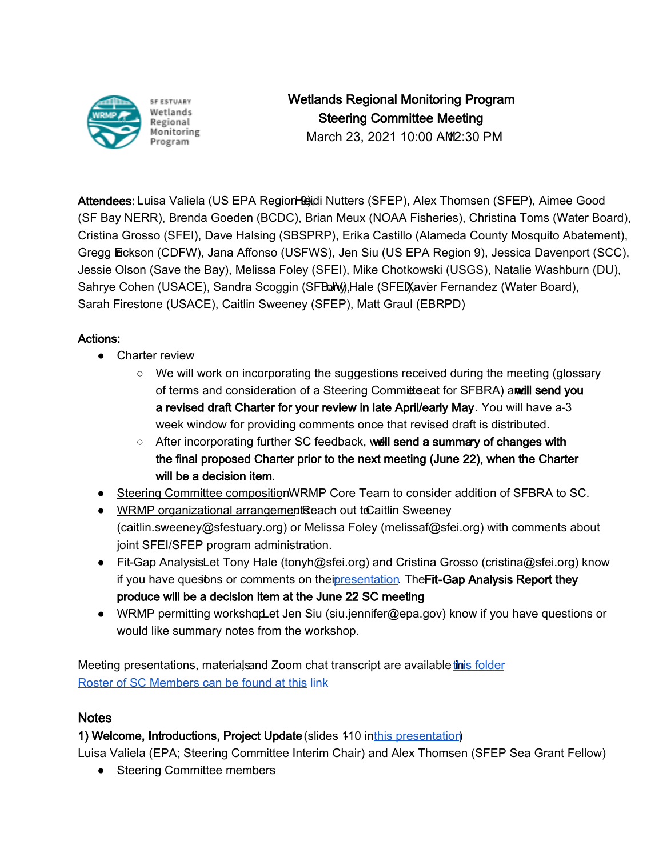

Wetlands Regional Monitoring Program Steering Committee Meeting

March 23, 2021 10:00 AM 2:30 PM

Attendees: Luisa Valiela (US EPA Region Bidi Nutters (SFEP), Alex Thomsen (SFEP), Aimee Good (SF Bay NERR), Brenda Goeden (BCDC), Brian Meux (NOAA Fisheries), Christina Toms (Water Board), Cristina Grosso (SFEI), Dave Halsing (SBSPRP), Erika Castillo (Alameda County Mosquito Abatement), Gregg Eckson (CDFW), Jana Affonso (USFWS), Jen Siu (US EPA Region 9), Jessica Davenport (SCC), Jessie Olson (Save the Bay), Melissa Foley (SFEI), Mike Chotkowski (USGS), Natalie Washburn (DU), Sahrye Cohen (USACE), Sandra Scoggin (SFBaN), Hale (SFEI), Aver Fernandez (Water Board), Sarah Firestone (USACE), Caitlin Sweeney (SFEP), Matt Graul (EBRPD)

# Actions:

- Charter review
	- We will work on incorporating the suggestions received during the meeting (glossary of terms and consideration of a Steering Committee at for SFBRA) annuall send you a revised draft Charter for your review in late April/early May. You will have a 3 week window for providing comments once that revised draft is distributed.
	- $\circ$  After incorporating further SC feedback, we ill send a summary of changes with the final proposed Charter prior to the next meeting (June 22), when the Charter will be a decision item.
- Steering Committee composition/WRMP Core Team to consider addition of SFBRA to SC.
- WRMP organizational arrangement Reach out to Caitlin Sweeney (caitlin.sweeney@sfestuary.org) or Melissa Foley (melissaf@sfei.org) with comments about joint SFEI/SFEP program administration.
- Fit-Gap Analysis: Let Tony Hale (tonyh@sfei.org) and Cristina Grosso (cristina@sfei.org) know if you have questons or comments on theipresentation. The Fit-Gap Analysis Report they produce will be a decision item at the June 22 SC meeting.
- WRMP permitting workshaptlet Jen Siu (siu.jennifer@epa.gov) know if you have questions or would like summary notes from the workshop.

Meeting presentations, materials and Zoom chat transcript are available *this folder* [Roster of SC Members can be found at this](https://docs.google.com/spreadsheets/d/1irwBf2FqK7Nqeww960DWi42-1E-OG4_bv6QH0k0WIGQ/edit?usp=sharing) link

### Notes

### 1) Welcome, Introductions, Project Update (slides 110 inthis presentation)

Luisa Valiela (EPA; Steering Committee Interim Chair) and Alex Thomsen (SFEP Sea Grant Fellow)

• Steering Committee members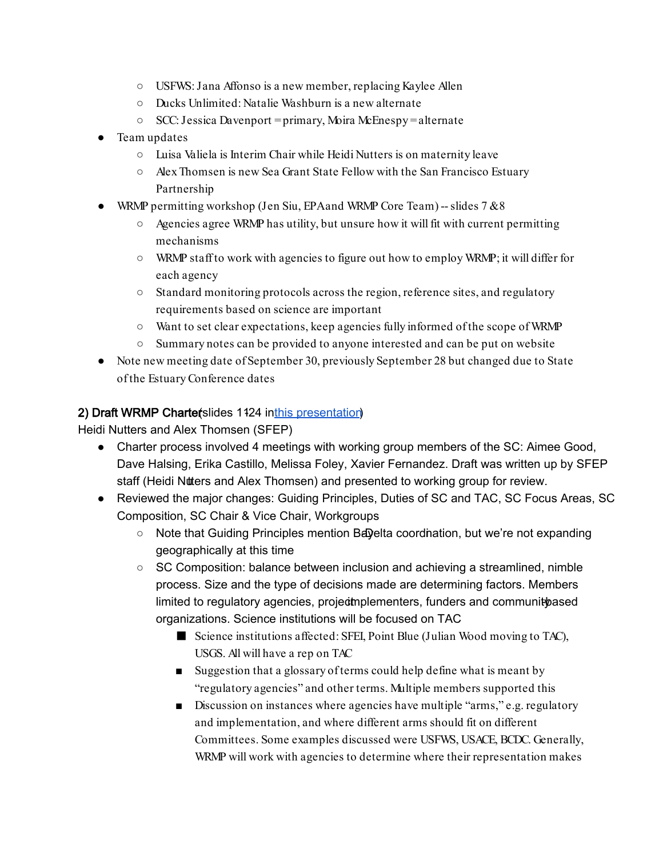- USFWS: Jana Affonso is a new member, replacing Kaylee Allen
- Ducks Unlimited: Natalie Washburn is a new alternate
- SCC: Jessica Davenport = primary, Moira McEnespy = alternate
- Team updates
	- Luisa Valiela is Interim Chair while Heidi Nutters is on maternity leave
	- Alex Thomsen is new Sea Grant State Fellow with the San Francisco Estuary Partnership
- WRMP permitting workshop (Jen Siu, EPA and WRMP Core Team) -- slides  $7 & 88$ 
	- $\circ$  Agencies agree WRMP has utility, but unsure how it will fit with current permitting mechanisms
	- WRMP staff to work with agencies to figure out how to employ WRMP; it will differ for each agency
	- Standard monitoring protocols across the region, reference sites, and regulatory requirements based on science are important
	- Want to set clear expectations, keep agencies fully informed of the scope of WRMP
	- Summary notes can be provided to anyone interested and can be put on website
- Note new meeting date of September 30, previously September 28 but changed due to State of the Estuary Conference dates

### 2) Draft WRMP Charterslides 1124 inthis presentation

Heidi Nutters and Alex Thomsen (SFEP)

- Charter process involved 4 meetings with working group members of the SC: Aimee Good, Dave Halsing, Erika Castillo, Melissa Foley, Xavier Fernandez. Draft was written up by SFEP staff (Heidi Nutters and Alex Thomsen) and presented to working group for review.
- Reviewed the major changes: Guiding Principles, Duties of SC and TAC, SC Focus Areas, SC Composition, SC Chair & Vice Chair, Workgroups
	- $\circ$  Note that Guiding Principles mention Bayelta coordination, but we're not expanding geographically at this time
	- $\circ$  SC Composition: balance between inclusion and achieving a streamlined, nimble process. Size and the type of decisions made are determining factors. Members limited to regulatory agencies, project inplementers, funders and community based organizations. Science institutions will be focused on TAC
		- Science institutions affected: SFEI, Point Blue (Julian Wood moving to TAC), USGS. All will have a rep on TAC
		- Suggestion that a glossary of terms could help define what is meant by "regulatory agencies" and other terms. Multiple members supported this
		- Discussion on instances where agencies have multiple "arms," e.g. regulatory and implementation, and where different arms should fit on different Committees. Some examples discussed were USFWS, USACE, BCDC. Generally, WRMP will work with agencies to determine where their representation makes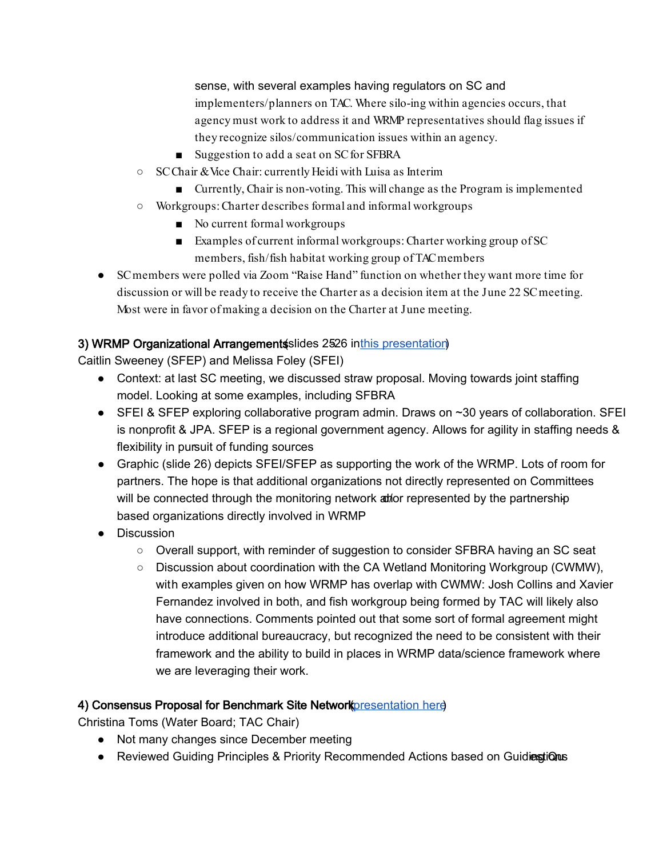sense, with several examples having regulators on SC and implementers/planners on TAC. Where silo-ing within agencies occurs, that agency must work to address it and WRMP representatives should flag issues if they recognize silos/communication issues within an agency.

- Suggestion to add a seat on SC for SFBRA
- SC Chair & Vice Chair: currently Heidi with Luisa as Interim
	- Currently, Chair is non-voting. This will change as the Program is implemented
- Workgroups: Charter describes formal and informal workgroups
	- No current formal workgroups
	- Examples of current informal workgroups: Charter working group of SC members, fish/fish habitat working group of TAC members
- SC members were polled via Zoom "Raise Hand" function on whether they want more time for discussion or will be ready to receive the Charter as a decision item at the June 22 SC meeting. Most were in favor of making a decision on the Charter at June meeting.

# 3) WRMP Organizational Arrangement slides 2526 inthis presentation

Caitlin Sweeney (SFEP) and Melissa Foley (SFEI)

- Context: at last SC meeting, we discussed straw proposal. Moving towards joint staffing model. Looking at some examples, including SFBRA
- SFEI & SFEP exploring collaborative program admin. Draws on ~30 years of collaboration. SFEI is nonprofit & JPA. SFEP is a regional government agency. Allows for agility in staffing needs & flexibility in pursuit of funding sources
- Graphic (slide 26) depicts SFEI/SFEP as supporting the work of the WRMP. Lots of room for partners. The hope is that additional organizations not directly represented on Committees will be connected through the monitoring network at for represented by the partnershipbased organizations directly involved in WRMP
- Discussion
	- Overall support, with reminder of suggestion to consider SFBRA having an SC seat
	- Discussion about coordination with the CA Wetland Monitoring Workgroup (CWMW), with examples given on how WRMP has overlap with CWMW: Josh Collins and Xavier Fernandez involved in both, and fish workgroup being formed by TAC will likely also have connections. Comments pointed out that some sort of formal agreement might introduce additional bureaucracy, but recognized the need to be consistent with their framework and the ability to build in places in WRMP data/science framework where we are leveraging their work.

# 4) Consensus Proposal for Benchmark Site Network *presentation here*

Christina Toms (Water Board; TAC Chair)

- Not many changes since December meeting
- Reviewed Guiding Principles & Priority Recommended Actions based on Guidinestions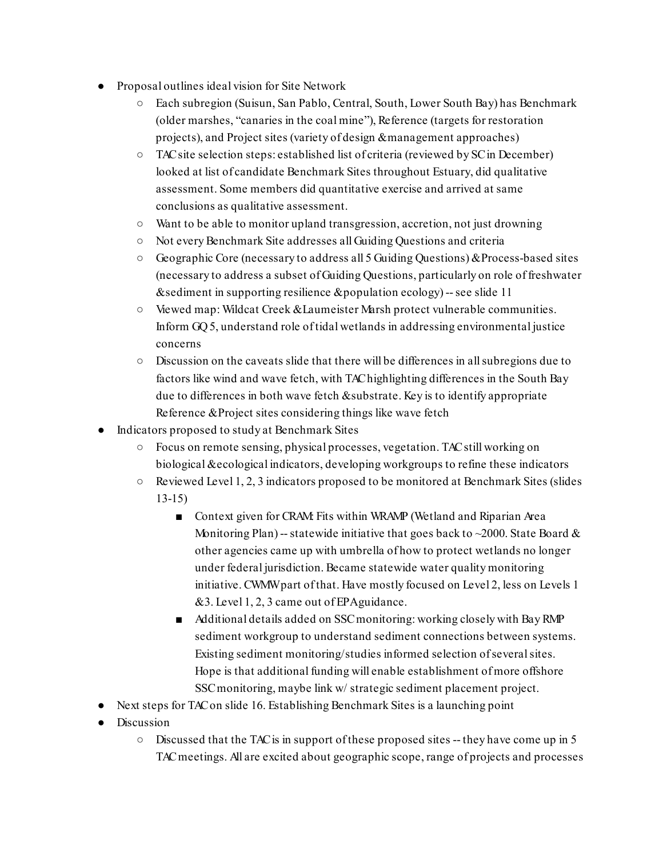- Proposal outlines ideal vision for Site Network
	- Each subregion (Suisun, San Pablo, Central, South, Lower South Bay) has Benchmark (older marshes, "canaries in the coal mine"), Reference (targets for restoration projects), and Project sites (variety of design & management approaches)
	- TAC site selection steps: established list of criteria (reviewed by SC in December) looked at list of candidate Benchmark Sites throughout Estuary, did qualitative assessment. Some members did quantitative exercise and arrived at same conclusions as qualitative assessment.
	- Want to be able to monitor upland transgression, accretion, not just drowning
	- Not every Benchmark Site addresses all Guiding Questions and criteria
	- Geographic Core (necessary to address all 5 Guiding Questions) & Process-based sites (necessary to address a subset of Guiding Questions, particularly on role of freshwater  $\&$  sediment in supporting resilience  $\&$  population ecology) -- see slide 11
	- Viewed map: Wildcat Creek & Laumeister Marsh protect vulnerable communities. Inform GQ 5, understand role of tidal wetlands in addressing environmental justice concerns
	- Discussion on the caveats slide that there will be differences in all subregions due to factors like wind and wave fetch, with TAC highlighting differences in the South Bay due to differences in both wave fetch & substrate. Key is to identify appropriate Reference & Project sites considering things like wave fetch
- Indicators proposed to study at Benchmark Sites
	- Focus on remote sensing, physical processes, vegetation. TAC still working on biological & ecological indicators, developing workgroups to refine these indicators
	- Reviewed Level 1, 2, 3 indicators proposed to be monitored at Benchmark Sites (slides 13-15)
		- Context given for CRAM: Fits within WRAMP (Wetland and Riparian Area Monitoring Plan) -- statewide initiative that goes back to  $\sim$ 2000. State Board & other agencies came up with umbrella of how to protect wetlands no longer under federal jurisdiction. Became statewide water quality monitoring initiative. CWMW part of that. Have mostly focused on Level 2, less on Levels 1  $& 3.$  Level 1, 2, 3 came out of EPA guidance.
		- Additional details added on SSC monitoring: working closely with Bay RMP sediment workgroup to understand sediment connections between systems. Existing sediment monitoring/studies informed selection of several sites. Hope is that additional funding will enable establishment of more offshore SSC monitoring, maybe link w/ strategic sediment placement project.
- Next steps for TAC on slide 16. Establishing Benchmark Sites is a launching point
- Discussion
	- Discussed that the TAC is in support of these proposed sites -- they have come up in 5 TAC meetings. All are excited about geographic scope, range of projects and processes